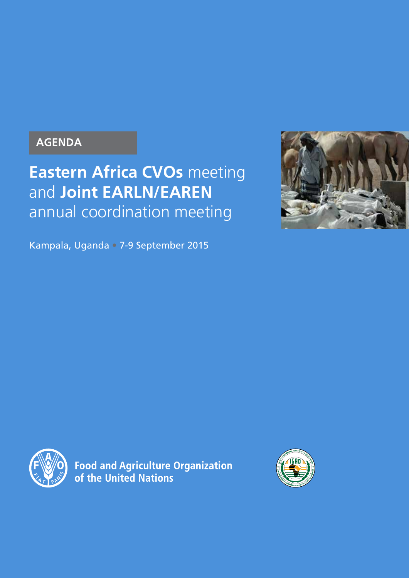## **AGENDA**

**Eastern Africa CVOs meeting** and **Joint EARLN/EAREN** annual coordination meeting

Kampala, Uganda • 7-9 September 2015





**Food and Agriculture Organization of the United Nations** 

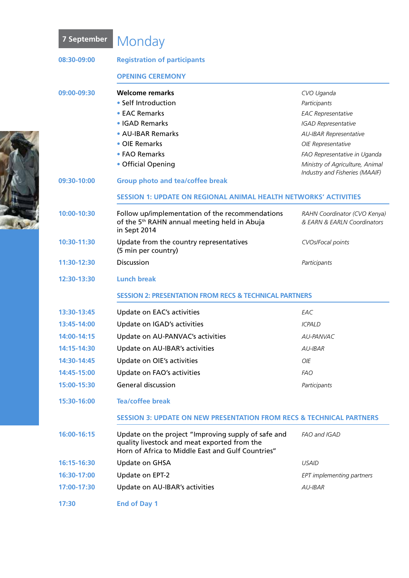| 08:30-09:00 | <b>Registration of participants</b>                                                                                                                      |                                                                   |  |  |
|-------------|----------------------------------------------------------------------------------------------------------------------------------------------------------|-------------------------------------------------------------------|--|--|
|             | <b>OPENING CEREMONY</b>                                                                                                                                  |                                                                   |  |  |
| 09:00-09:30 | <b>Welcome remarks</b>                                                                                                                                   | CVO Uganda                                                        |  |  |
|             | • Self Introduction                                                                                                                                      | Participants                                                      |  |  |
|             | • EAC Remarks                                                                                                                                            | <b>EAC Representative</b>                                         |  |  |
|             | • IGAD Remarks                                                                                                                                           | <b>IGAD Representative</b>                                        |  |  |
|             | • AU-IBAR Remarks                                                                                                                                        | <b>AU-IBAR Representative</b>                                     |  |  |
|             | • OIE Remarks                                                                                                                                            | OIE Representative                                                |  |  |
|             | • FAO Remarks                                                                                                                                            | FAO Representative in Uganda                                      |  |  |
|             | • Official Opening                                                                                                                                       | Ministry of Agriculture, Animal<br>Industry and Fisheries (MAAIF) |  |  |
| 09:30-10:00 | <b>Group photo and tea/coffee break</b>                                                                                                                  |                                                                   |  |  |
|             | <b>SESSION 1: UPDATE ON REGIONAL ANIMAL HEALTH NETWORKS' ACTIVITIES</b>                                                                                  |                                                                   |  |  |
| 10:00-10:30 | Follow up/implementation of the recommendations<br>of the 5 <sup>th</sup> RAHN annual meeting held in Abuja<br>in Sept 2014                              | RAHN Coordinator (CVO Kenya)<br>& EARN & EARLN Coordinators       |  |  |
| 10:30-11:30 | Update from the country representatives<br>(5 min per country)                                                                                           | CVOs/Focal points                                                 |  |  |
| 11:30-12:30 | <b>Discussion</b>                                                                                                                                        | Participants                                                      |  |  |
| 12:30-13:30 | <b>Lunch break</b>                                                                                                                                       |                                                                   |  |  |
|             | <b>SESSION 2: PRESENTATION FROM RECS &amp; TECHNICAL PARTNERS</b>                                                                                        |                                                                   |  |  |
| 13:30-13:45 | Update on EAC's activities                                                                                                                               | EAC                                                               |  |  |
| 13:45-14:00 | Update on IGAD's activities                                                                                                                              | <b>ICPALD</b>                                                     |  |  |
| 14:00-14:15 | Update on AU-PANVAC's activities                                                                                                                         | AU-PANVAC                                                         |  |  |
| 14:15-14:30 | Update on AU-IBAR's activities                                                                                                                           | $AU$ -IBAR                                                        |  |  |
| 14:30-14:45 | Update on OIE's activities                                                                                                                               | <b>OIE</b>                                                        |  |  |
| 14:45-15:00 | Update on FAO's activities                                                                                                                               | <b>FAO</b>                                                        |  |  |
| 15:00-15:30 | General discussion                                                                                                                                       | Participants                                                      |  |  |
| 15:30-16:00 | <b>Tea/coffee break</b>                                                                                                                                  |                                                                   |  |  |
|             | <b>SESSION 3: UPDATE ON NEW PRESENTATION FROM RECS &amp; TECHNICAL PARTNERS</b>                                                                          |                                                                   |  |  |
| 16:00-16:15 | Update on the project "Improving supply of safe and<br>quality livestock and meat exported from the<br>Horn of Africa to Middle East and Gulf Countries" | FAO and IGAD                                                      |  |  |
| 16:15-16:30 | Update on GHSA                                                                                                                                           | <b>USAID</b>                                                      |  |  |
| 16:30-17:00 | Update on EPT-2                                                                                                                                          | EPT implementing partners                                         |  |  |
| 17:00-17:30 | Update on AU-IBAR's activities                                                                                                                           | $AU$ -IBAR                                                        |  |  |
| 17:30       | <b>End of Day 1</b>                                                                                                                                      |                                                                   |  |  |
|             |                                                                                                                                                          |                                                                   |  |  |

 $(15 - 7)$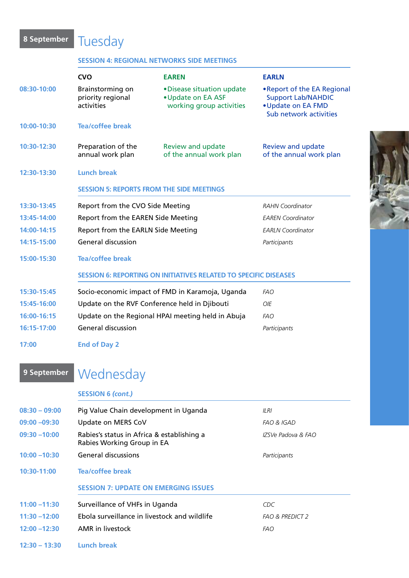## **8 September** Tuesday

## **Session 4: Regional Networks Side Meetings**

|                 | <b>CVO</b>                                                               | <b>EAREN</b>                                                                 | <b>EARLN</b>                                                                                             |  |  |  |
|-----------------|--------------------------------------------------------------------------|------------------------------------------------------------------------------|----------------------------------------------------------------------------------------------------------|--|--|--|
| 08:30-10:00     | Brainstorming on<br>priority regional<br>activities                      | • Disease situation update<br>. Update on EA ASF<br>working group activities | • Report of the EA Regional<br><b>Support Lab/NAHDIC</b><br>. Update on EA FMD<br>Sub network activities |  |  |  |
| 10:00-10:30     | <b>Tea/coffee break</b>                                                  |                                                                              |                                                                                                          |  |  |  |
| 10:30-12:30     | Preparation of the<br>annual work plan                                   | Review and update<br>of the annual work plan                                 | <b>Review and update</b><br>of the annual work plan                                                      |  |  |  |
| 12:30-13:30     | <b>Lunch break</b>                                                       |                                                                              |                                                                                                          |  |  |  |
|                 | <b>SESSION 5: REPORTS FROM THE SIDE MEETINGS</b>                         |                                                                              |                                                                                                          |  |  |  |
| 13:30-13:45     | Report from the CVO Side Meeting<br><b>RAHN Coordinator</b>              |                                                                              |                                                                                                          |  |  |  |
| 13:45-14:00     | Report from the EAREN Side Meeting                                       |                                                                              | <b>EAREN</b> Coordinator                                                                                 |  |  |  |
| 14:00-14:15     | Report from the EARLN Side Meeting                                       |                                                                              | <b>EARLN</b> Coordinator                                                                                 |  |  |  |
| 14:15-15:00     | <b>General discussion</b>                                                |                                                                              | Participants                                                                                             |  |  |  |
| 15:00-15:30     | <b>Tea/coffee break</b>                                                  |                                                                              |                                                                                                          |  |  |  |
|                 |                                                                          | <b>SESSION 6: REPORTING ON INITIATIVES RELATED TO SPECIFIC DISEASES</b>      |                                                                                                          |  |  |  |
| 15:30-15:45     |                                                                          | Socio-economic impact of FMD in Karamoja, Uganda                             | <b>FAO</b>                                                                                               |  |  |  |
| 15:45-16:00     | Update on the RVF Conference held in Djibouti                            |                                                                              | OIE                                                                                                      |  |  |  |
| 16:00-16:15     | Update on the Regional HPAI meeting held in Abuja                        |                                                                              | <b>FAO</b>                                                                                               |  |  |  |
| 16:15-17:00     | <b>General discussion</b>                                                |                                                                              | Participants                                                                                             |  |  |  |
| 17:00           | <b>End of Day 2</b>                                                      |                                                                              |                                                                                                          |  |  |  |
| 9 September     | Wednesday                                                                |                                                                              |                                                                                                          |  |  |  |
|                 | <b>SESSION 6 (cont.)</b>                                                 |                                                                              |                                                                                                          |  |  |  |
| $08:30 - 09:00$ | Pig Value Chain development in Uganda                                    |                                                                              | ILRI                                                                                                     |  |  |  |
| $09:00 - 09:30$ | Update on MERS CoV                                                       |                                                                              | FAO & IGAD                                                                                               |  |  |  |
| $09:30 - 10:00$ | Rabies's status in Africa & establishing a<br>Rabies Working Group in EA |                                                                              | IZSVe Padova & FAO                                                                                       |  |  |  |
| $10:00 - 10:30$ | <b>General discussions</b>                                               |                                                                              | Participants                                                                                             |  |  |  |
| 10:30-11:00     | <b>Tea/coffee break</b>                                                  |                                                                              |                                                                                                          |  |  |  |
|                 | <b>SESSION 7: UPDATE ON EMERGING ISSUES</b>                              |                                                                              |                                                                                                          |  |  |  |
| $11:00 - 11:30$ | Surveillance of VHFs in Uganda                                           |                                                                              | <b>CDC</b>                                                                                               |  |  |  |
| $11:30 - 12:00$ | Ebola surveillance in livestock and wildlife                             |                                                                              | <b>FAO &amp; PREDICT 2</b>                                                                               |  |  |  |
| $12:00 - 12:30$ | AMR in livestock                                                         |                                                                              | <b>FAO</b>                                                                                               |  |  |  |
| $12:30 - 13:30$ | <b>Lunch break</b>                                                       |                                                                              |                                                                                                          |  |  |  |